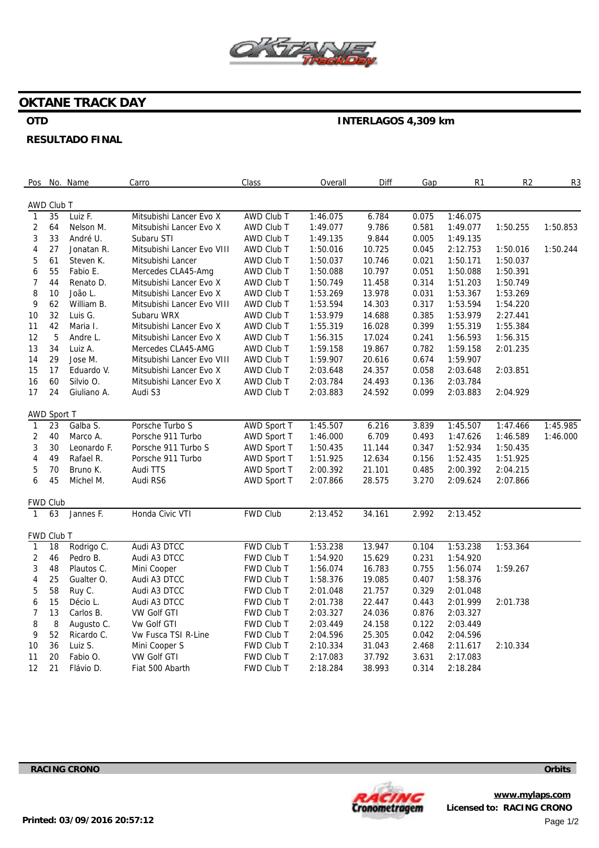

## **OKTANE TRACK DAY**

## **OTD**

# **INTERLAGOS 4,309 km**

### **RESULTADO FINAL**

| Pos                     |                    | No. Name    | Carro                      | <b>Class</b>      | Overall  | Diff   | Gap   | R <sub>1</sub> | R <sub>2</sub> | R <sub>3</sub> |
|-------------------------|--------------------|-------------|----------------------------|-------------------|----------|--------|-------|----------------|----------------|----------------|
|                         |                    |             |                            |                   |          |        |       |                |                |                |
| $\mathbf{1}$            | AWD Club T<br>35   | Luiz F.     | Mitsubishi Lancer Evo X    | <b>AWD Club T</b> | 1:46.075 | 6.784  | 0.075 | 1:46.075       |                |                |
| $\overline{c}$          | 64                 | Nelson M.   | Mitsubishi Lancer Evo X    | AWD Club T        | 1:49.077 | 9.786  | 0.581 | 1:49.077       | 1:50.255       | 1:50.853       |
| 3                       | 33                 | André U.    | Subaru STI                 | AWD Club T        | 1:49.135 | 9.844  | 0.005 | 1:49.135       |                |                |
| 4                       | 27                 | Jonatan R.  | Mitsubishi Lancer Evo VIII | AWD Club T        | 1:50.016 | 10.725 | 0.045 | 2:12.753       | 1:50.016       | 1:50.244       |
| 5                       | 61                 | Steven K.   | Mitsubishi Lancer          | AWD Club T        | 1:50.037 | 10.746 | 0.021 | 1:50.171       | 1:50.037       |                |
| 6                       | 55                 | Fabio E.    | Mercedes CLA45-Amg         | AWD Club T        | 1:50.088 | 10.797 | 0.051 | 1:50.088       | 1:50.391       |                |
| 7                       | 44                 | Renato D.   | Mitsubishi Lancer Evo X    | AWD Club T        | 1:50.749 | 11.458 | 0.314 | 1:51.203       | 1:50.749       |                |
| 8                       | $10$               | João L.     | Mitsubishi Lancer Evo X    | AWD Club T        | 1:53.269 | 13.978 | 0.031 | 1:53.367       | 1:53.269       |                |
| 9                       | 62                 | William B.  | Mitsubishi Lancer Evo VIII | AWD Club T        | 1:53.594 | 14.303 | 0.317 | 1:53.594       | 1:54.220       |                |
| 10                      | 32                 | Luis G.     | Subaru WRX                 | AWD Club T        | 1:53.979 | 14.688 | 0.385 | 1:53.979       | 2:27.441       |                |
| 11                      | 42                 | Maria I.    | Mitsubishi Lancer Evo X    | AWD Club T        | 1:55.319 | 16.028 | 0.399 | 1:55.319       | 1:55.384       |                |
| 12                      | $\mathbf 5$        | Andre L.    | Mitsubishi Lancer Evo X    | AWD Club T        | 1:56.315 | 17.024 | 0.241 | 1:56.593       | 1:56.315       |                |
| 13                      | 34                 | Luiz A.     | Mercedes CLA45-AMG         | AWD Club T        | 1:59.158 | 19.867 | 0.782 | 1:59.158       |                |                |
|                         | 29                 |             |                            |                   | 1:59.907 |        | 0.674 | 1:59.907       | 2:01.235       |                |
| 14                      | 17                 | Jose M.     | Mitsubishi Lancer Evo VIII | AWD Club T        |          | 20.616 |       |                |                |                |
| 15                      |                    | Eduardo V.  | Mitsubishi Lancer Evo X    | AWD Club T        | 2:03.648 | 24.357 | 0.058 | 2:03.648       | 2:03.851       |                |
| 16                      | 60                 | Silvio O.   | Mitsubishi Lancer Evo X    | AWD Club T        | 2:03.784 | 24.493 | 0.136 | 2:03.784       |                |                |
| 17                      | 24                 | Giuliano A. | Audi S3                    | AWD Club T        | 2:03.883 | 24.592 | 0.099 | 2:03.883       | 2:04.929       |                |
|                         | <b>AWD Sport T</b> |             |                            |                   |          |        |       |                |                |                |
| $\mathbf{1}$            | 23                 | Galba S.    | Porsche Turbo S            | AWD Sport T       | 1:45.507 | 6.216  | 3.839 | 1:45.507       | 1:47.466       | 1:45.985       |
| $\boldsymbol{2}$        | 40                 | Marco A.    | Porsche 911 Turbo          | AWD Sport T       | 1:46.000 | 6.709  | 0.493 | 1:47.626       | 1:46.589       | 1:46.000       |
| 3                       | 30                 | Leonardo F. | Porsche 911 Turbo S        | AWD Sport T       | 1:50.435 | 11.144 | 0.347 | 1:52.934       | 1:50.435       |                |
| 4                       | 49                 | Rafael R.   | Porsche 911 Turbo          | AWD Sport T       | 1:51.925 | 12.634 | 0.156 | 1:52.435       | 1:51.925       |                |
| 5                       | 70                 | Bruno K.    | Audi TTS                   | AWD Sport T       | 2:00.392 | 21.101 | 0.485 | 2:00.392       | 2:04.215       |                |
| 6                       | 45                 | Michel M.   | Audi RS6                   | AWD Sport T       | 2:07.866 | 28.575 | 3.270 | 2:09.624       | 2:07.866       |                |
|                         | FWD Club           |             |                            |                   |          |        |       |                |                |                |
| $\mathbf{1}$            | 63                 | Jannes F.   | Honda Civic VTI            | <b>FWD Club</b>   | 2:13.452 | 34.161 | 2.992 | 2:13.452       |                |                |
|                         |                    |             |                            |                   |          |        |       |                |                |                |
|                         | FWD Club T         |             |                            |                   |          |        |       |                |                |                |
| $\mathbf{1}$            | 18                 | Rodrigo C.  | Audi A3 DTCC               | <b>FWD Club T</b> | 1:53.238 | 13.947 | 0.104 | 1:53.238       | 1:53.364       |                |
| $\overline{\mathbf{c}}$ | 46                 | Pedro B.    | Audi A3 DTCC               | FWD Club T        | 1:54.920 | 15.629 | 0.231 | 1:54.920       |                |                |
| 3                       | 48                 | Plautos C.  | Mini Cooper                | FWD Club T        | 1:56.074 | 16.783 | 0.755 | 1:56.074       | 1:59.267       |                |
| 4                       | 25                 | Gualter O.  | Audi A3 DTCC               | FWD Club T        | 1:58.376 | 19.085 | 0.407 | 1:58.376       |                |                |
| 5                       | 58                 | Ruy C.      | Audi A3 DTCC               | FWD Club T        | 2:01.048 | 21.757 | 0.329 | 2:01.048       |                |                |
| 6                       | 15                 | Décio L.    | Audi A3 DTCC               | FWD Club T        | 2:01.738 | 22.447 | 0.443 | 2:01.999       | 2:01.738       |                |
| $\overline{7}$          | 13                 | Carlos B.   | <b>VW Golf GTI</b>         | <b>FWD Club T</b> | 2:03.327 | 24.036 | 0.876 | 2:03.327       |                |                |
| 8                       | 8                  | Augusto C.  | <b>Vw Golf GTI</b>         | <b>FWD Club T</b> | 2:03.449 | 24.158 | 0.122 | 2:03.449       |                |                |
| 9                       | 52                 | Ricardo C.  | Vw Fusca TSI R-Line        | FWD Club T        | 2:04.596 | 25.305 | 0.042 | 2:04.596       |                |                |
| 10                      | 36                 | Luiz S.     | Mini Cooper S              | FWD Club T        | 2:10.334 | 31.043 | 2.468 | 2:11.617       | 2:10.334       |                |
| 11                      | 20                 | Fabio O.    | <b>VW Golf GTI</b>         | FWD Club T        | 2:17.083 | 37.792 | 3.631 | 2:17.083       |                |                |
| 12                      | 21                 | Flávio D.   | Fiat 500 Abarth            | FWD Club T        | 2:18.284 | 38.993 | 0.314 | 2:18.284       |                |                |